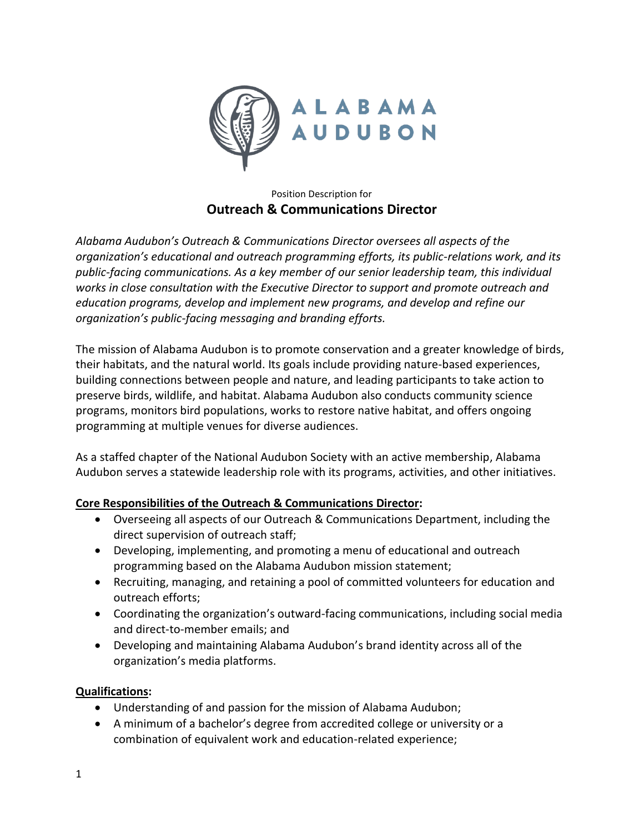

## Position Description for **Outreach & Communications Director**

*Alabama Audubon's Outreach & Communications Director oversees all aspects of the organization's educational and outreach programming efforts, its public-relations work, and its public-facing communications. As a key member of our senior leadership team, this individual works in close consultation with the Executive Director to support and promote outreach and education programs, develop and implement new programs, and develop and refine our organization's public-facing messaging and branding efforts.*

The mission of Alabama Audubon is to promote conservation and a greater knowledge of birds, their habitats, and the natural world. Its goals include providing nature-based experiences, building connections between people and nature, and leading participants to take action to preserve birds, wildlife, and habitat. Alabama Audubon also conducts community science programs, monitors bird populations, works to restore native habitat, and offers ongoing programming at multiple venues for diverse audiences.

As a staffed chapter of the National Audubon Society with an active membership, Alabama Audubon serves a statewide leadership role with its programs, activities, and other initiatives.

## **Core Responsibilities of the Outreach & Communications Director:**

- Overseeing all aspects of our Outreach & Communications Department, including the direct supervision of outreach staff;
- Developing, implementing, and promoting a menu of educational and outreach programming based on the Alabama Audubon mission statement;
- Recruiting, managing, and retaining a pool of committed volunteers for education and outreach efforts;
- Coordinating the organization's outward-facing communications, including social media and direct-to-member emails; and
- Developing and maintaining Alabama Audubon's brand identity across all of the organization's media platforms.

## **Qualifications:**

- Understanding of and passion for the mission of Alabama Audubon;
- A minimum of a bachelor's degree from accredited college or university or a combination of equivalent work and education-related experience;